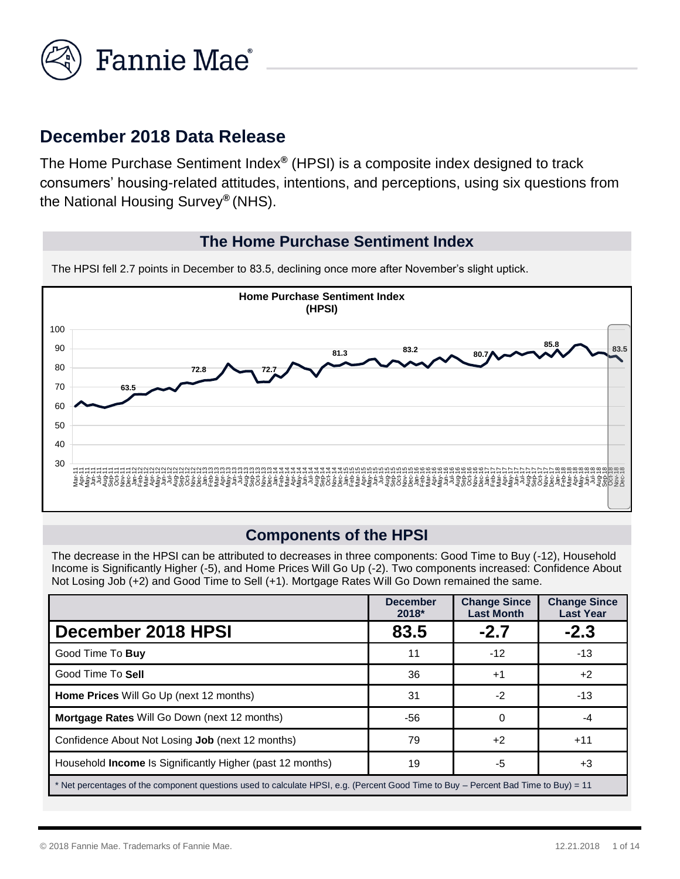

# **December 2018 Data Release**

The Home Purchase Sentiment Index*®* (HPSI) is a composite index designed to track consumers' housing-related attitudes, intentions, and perceptions, using six questions from the National Housing Survey*®* (NHS).

#### **The Home Purchase Sentiment Index**

The HPSI fell 2.7 points in December to 83.5, declining once more after November's slight uptick.



#### **Components of the HPSI**

The decrease in the HPSI can be attributed to decreases in three components: Good Time to Buy (-12), Household Income is Significantly Higher (-5), and Home Prices Will Go Up (-2). Two components increased: Confidence About Not Losing Job (+2) and Good Time to Sell (+1). Mortgage Rates Will Go Down remained the same.

|                                                                  | <b>December</b><br>$2018*$                                                                                                          | <b>Change Since</b><br><b>Last Month</b> | <b>Change Since</b><br><b>Last Year</b> |  |  |
|------------------------------------------------------------------|-------------------------------------------------------------------------------------------------------------------------------------|------------------------------------------|-----------------------------------------|--|--|
| December 2018 HPSI                                               | 83.5                                                                                                                                | $-2.7$                                   | $-2.3$                                  |  |  |
| Good Time To Buy                                                 | 11                                                                                                                                  | $-12$                                    | $-13$                                   |  |  |
| Good Time To Sell                                                | 36                                                                                                                                  | $+1$                                     | $+2$                                    |  |  |
| <b>Home Prices</b> Will Go Up (next 12 months)                   | 31                                                                                                                                  | $-2$                                     | $-13$                                   |  |  |
| <b>Mortgage Rates Will Go Down (next 12 months)</b>              | -56                                                                                                                                 | $\Omega$                                 | -4                                      |  |  |
| Confidence About Not Losing Job (next 12 months)                 | 79                                                                                                                                  | $+2$                                     | $+11$                                   |  |  |
| Household <b>Income</b> Is Significantly Higher (past 12 months) | 19                                                                                                                                  | -5                                       | $+3$                                    |  |  |
|                                                                  | * Net percentages of the component questions used to calculate HPSI, e.g. (Percent Good Time to Buy – Percent Bad Time to Buy) = 11 |                                          |                                         |  |  |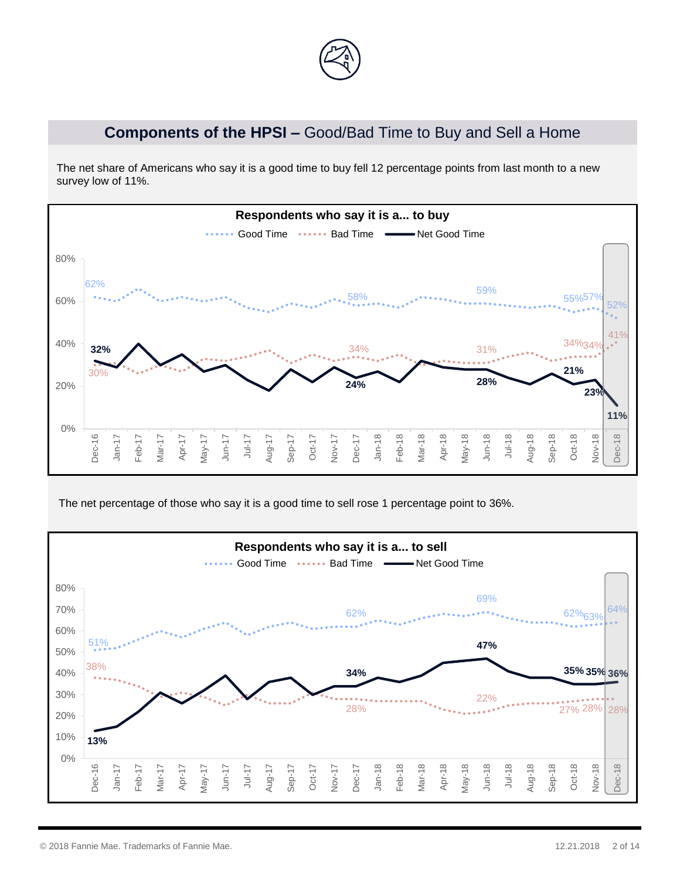

## **Components of the HPSI –** Good/Bad Time to Buy and Sell a Home

The net share of Americans who say it is a good time to buy fell 12 percentage points from last month to a new survey low of 11%.



The net percentage of those who say it is a good time to sell rose 1 percentage point to 36%.

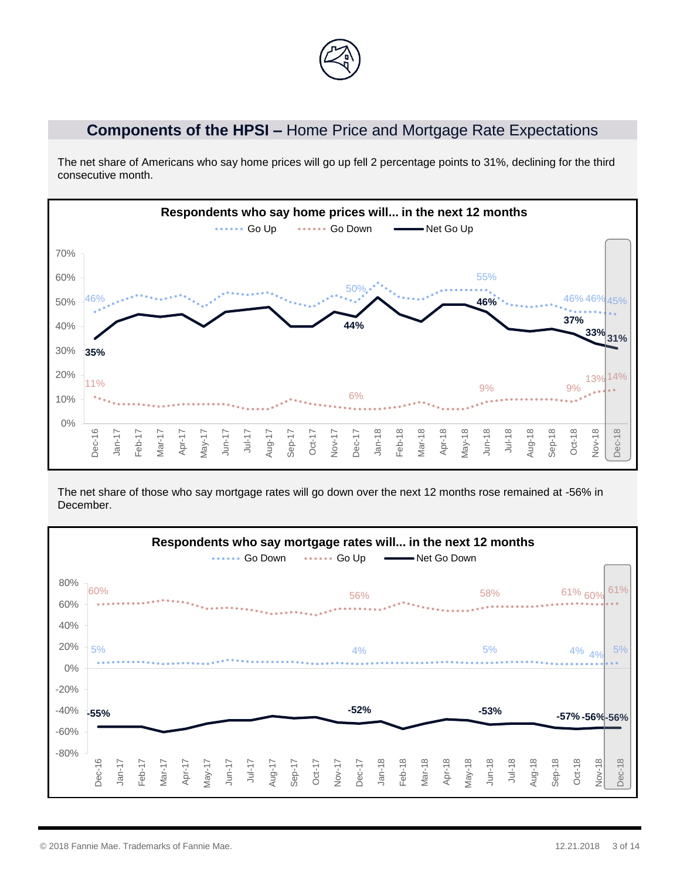

### **Components of the HPSI –** Home Price and Mortgage Rate Expectations

The net share of Americans who say home prices will go up fell 2 percentage points to 31%, declining for the third consecutive month.



The net share of those who say mortgage rates will go down over the next 12 months rose remained at -56% in December.

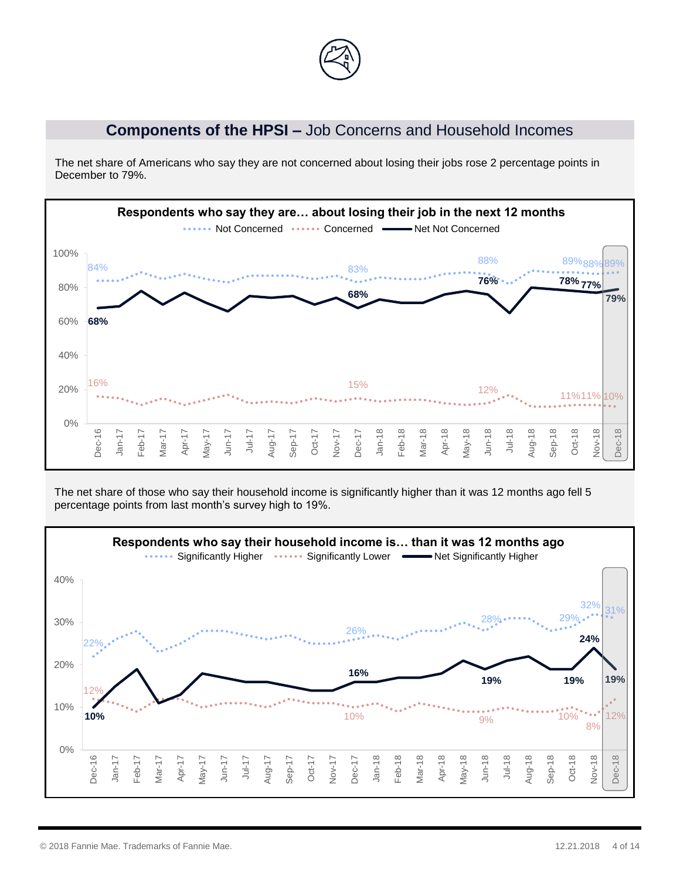

#### **Components of the HPSI –** Job Concerns and Household Incomes

The net share of Americans who say they are not concerned about losing their jobs rose 2 percentage points in December to 79%.



The net share of those who say their household income is significantly higher than it was 12 months ago fell 5 percentage points from last month's survey high to 19%.

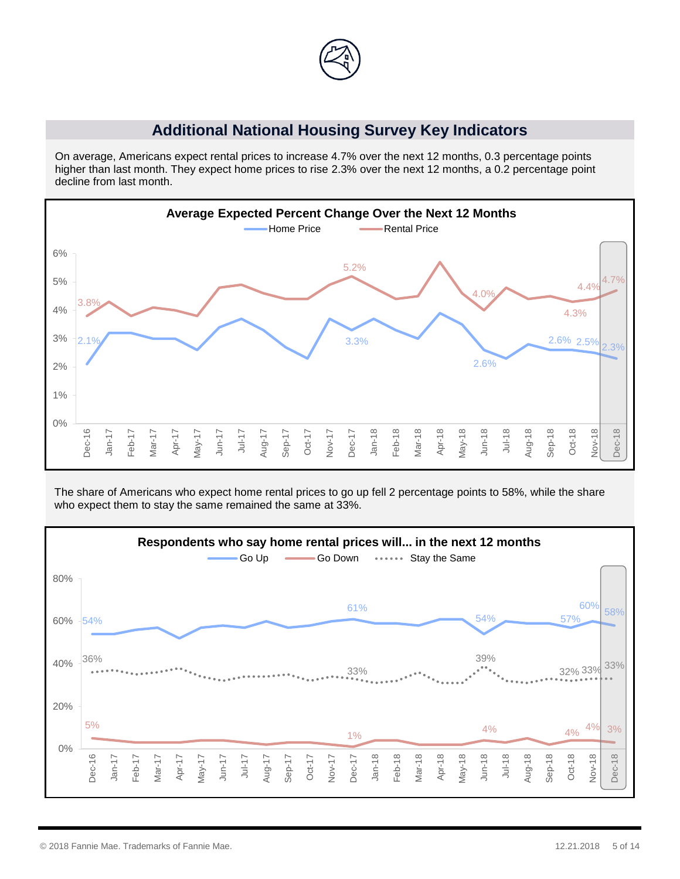

#### **Additional National Housing Survey Key Indicators**

On average, Americans expect rental prices to increase 4.7% over the next 12 months, 0.3 percentage points higher than last month. They expect home prices to rise 2.3% over the next 12 months, a 0.2 percentage point decline from last month.



The share of Americans who expect home rental prices to go up fell 2 percentage points to 58%, while the share who expect them to stay the same remained the same at 33%.

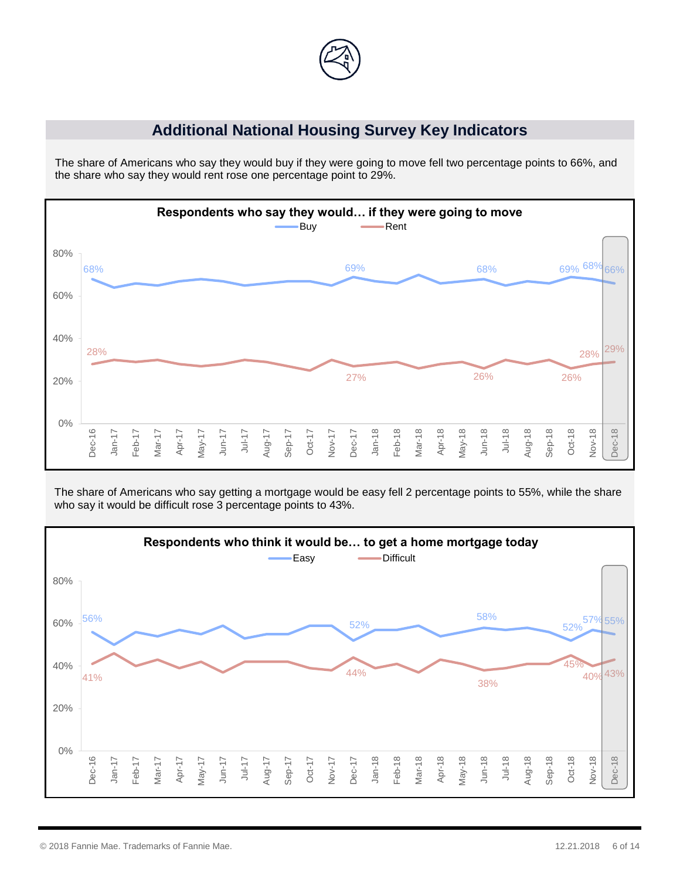

### **Additional National Housing Survey Key Indicators**

The share of Americans who say they would buy if they were going to move fell two percentage points to 66%, and the share who say they would rent rose one percentage point to 29%.



The share of Americans who say getting a mortgage would be easy fell 2 percentage points to 55%, while the share who say it would be difficult rose 3 percentage points to 43%.

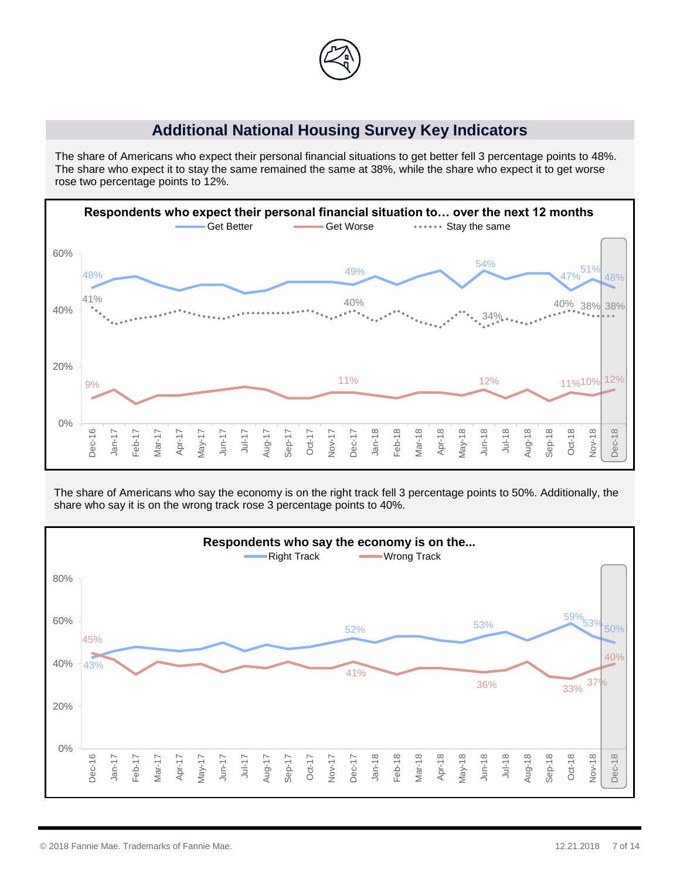

#### **Additional National Housing Survey Key Indicators**

The share of Americans who expect their personal financial situations to get better fell 3 percentage points to 48%. The share who expect it to stay the same remained the same at 38%, while the share who expect it to get worse rose two percentage points to 12%.



The share of Americans who say the economy is on the right track fell 3 percentage points to 50%. Additionally, the share who say it is on the wrong track rose 3 percentage points to 40%.

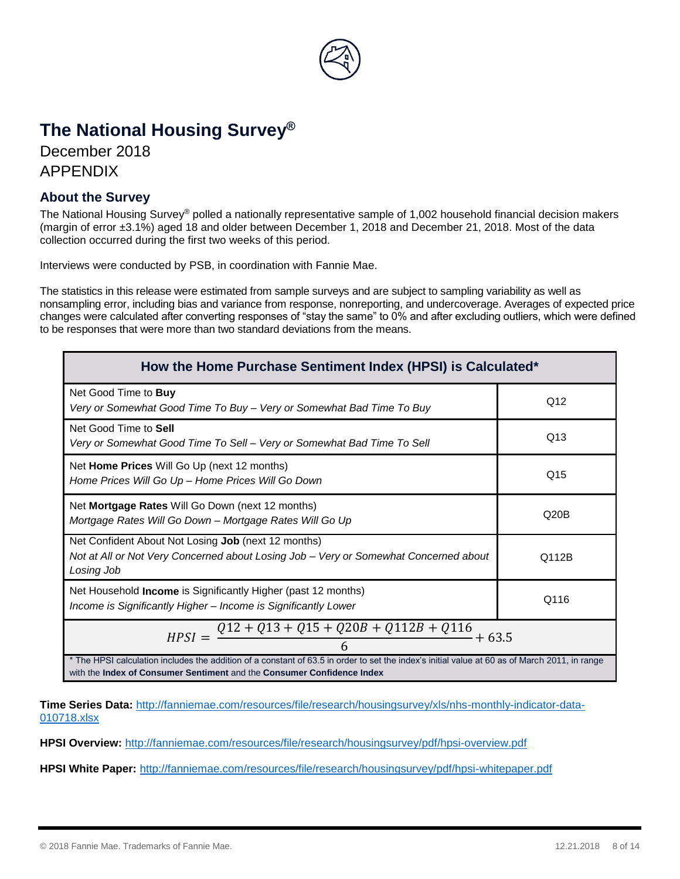

# **The National Housing Survey®**

December 2018 APPENDIX

#### **About the Survey**

The National Housing Survey® polled a nationally representative sample of 1,002 household financial decision makers (margin of error ±3.1%) aged 18 and older between December 1, 2018 and December 21, 2018. Most of the data collection occurred during the first two weeks of this period.

Interviews were conducted by PSB, in coordination with Fannie Mae.

The statistics in this release were estimated from sample surveys and are subject to sampling variability as well as nonsampling error, including bias and variance from response, nonreporting, and undercoverage. Averages of expected price changes were calculated after converting responses of "stay the same" to 0% and after excluding outliers, which were defined to be responses that were more than two standard deviations from the means.

| How the Home Purchase Sentiment Index (HPSI) is Calculated*                                                                                                                                                             |       |  |  |
|-------------------------------------------------------------------------------------------------------------------------------------------------------------------------------------------------------------------------|-------|--|--|
| Net Good Time to <b>Buy</b><br>Very or Somewhat Good Time To Buy - Very or Somewhat Bad Time To Buy                                                                                                                     | Q12   |  |  |
| Net Good Time to Sell<br>Very or Somewhat Good Time To Sell - Very or Somewhat Bad Time To Sell                                                                                                                         | Q13   |  |  |
| Net Home Prices Will Go Up (next 12 months)<br>Home Prices Will Go Up - Home Prices Will Go Down                                                                                                                        | Q15   |  |  |
| Net Mortgage Rates Will Go Down (next 12 months)<br>Mortgage Rates Will Go Down - Mortgage Rates Will Go Up                                                                                                             | Q20B  |  |  |
| Net Confident About Not Losing Job (next 12 months)<br>Not at All or Not Very Concerned about Losing Job – Very or Somewhat Concerned about<br>Losing Job                                                               | Q112B |  |  |
| Net Household <b>Income</b> is Significantly Higher (past 12 months)<br>Income is Significantly Higher - Income is Significantly Lower                                                                                  | Q116  |  |  |
| $Q12 + Q13 + Q15 + Q20B + Q112B + Q116$<br>$HPSI =$<br>$+63.5$                                                                                                                                                          |       |  |  |
| * The HPSI calculation includes the addition of a constant of 63.5 in order to set the index's initial value at 60 as of March 2011, in range<br>with the Index of Consumer Sentiment and the Consumer Confidence Index |       |  |  |

**Time Series Data:** [http://fanniemae.com/resources/file/research/housingsurvey/xls/nhs-monthly-indicator-data-](file:///C:/Users/mhutshneker/AppData/Local/Microsoft/Windows/INetCache/Content.Outlook/VM30YFQZ/Monthly%20Excel%20Key%20Indicators%20Data%20for%20Public%20Release%20December%202018.xlsx)[010718.xlsx](file:///C:/Users/mhutshneker/AppData/Local/Microsoft/Windows/INetCache/Content.Outlook/VM30YFQZ/Monthly%20Excel%20Key%20Indicators%20Data%20for%20Public%20Release%20December%202018.xlsx)

**HPSI Overview:** <http://fanniemae.com/resources/file/research/housingsurvey/pdf/hpsi-overview.pdf>

**HPSI White Paper:** <http://fanniemae.com/resources/file/research/housingsurvey/pdf/hpsi-whitepaper.pdf>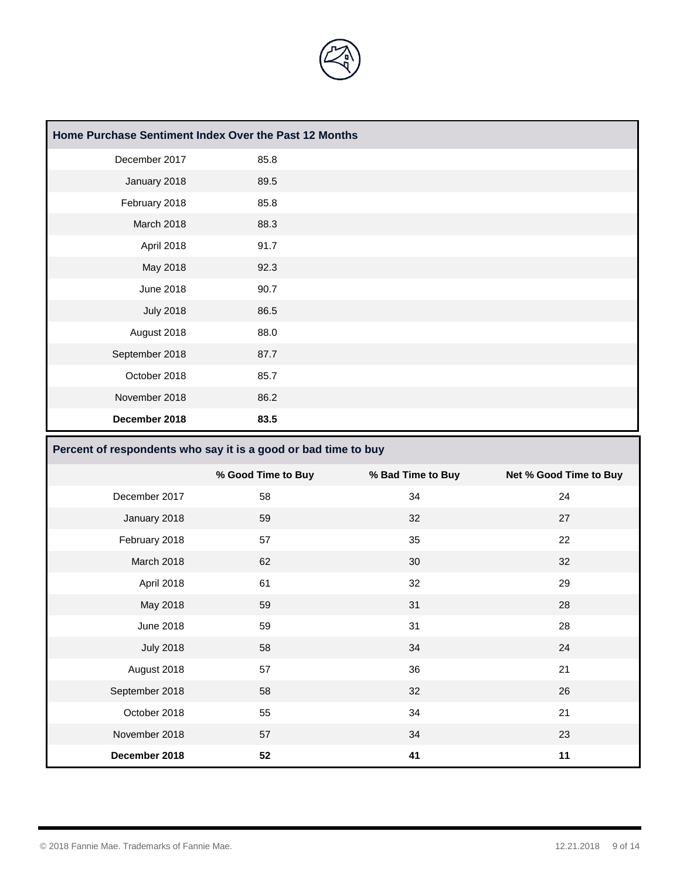

| Home Purchase Sentiment Index Over the Past 12 Months |      |  |
|-------------------------------------------------------|------|--|
| December 2017                                         | 85.8 |  |
| January 2018                                          | 89.5 |  |
| February 2018                                         | 85.8 |  |
| March 2018                                            | 88.3 |  |
| April 2018                                            | 91.7 |  |
| May 2018                                              | 92.3 |  |
| <b>June 2018</b>                                      | 90.7 |  |
| <b>July 2018</b>                                      | 86.5 |  |
| August 2018                                           | 88.0 |  |
| September 2018                                        | 87.7 |  |
| October 2018                                          | 85.7 |  |
| November 2018                                         | 86.2 |  |
| December 2018                                         | 83.5 |  |

# **Percent of respondents who say it is a good or bad time to buy**

|                  | % Good Time to Buy | % Bad Time to Buy | Net % Good Time to Buy |
|------------------|--------------------|-------------------|------------------------|
| December 2017    | 58                 | 34                | 24                     |
| January 2018     | 59                 | 32                | 27                     |
| February 2018    | 57                 | 35                | 22                     |
| March 2018       | 62                 | 30                | 32                     |
| April 2018       | 61                 | 32                | 29                     |
| May 2018         | 59                 | 31                | 28                     |
| June 2018        | 59                 | 31                | 28                     |
| <b>July 2018</b> | 58                 | 34                | 24                     |
| August 2018      | 57                 | 36                | 21                     |
| September 2018   | 58                 | 32                | 26                     |
| October 2018     | 55                 | 34                | 21                     |
| November 2018    | 57                 | 34                | 23                     |
| December 2018    | 52                 | 41                | 11                     |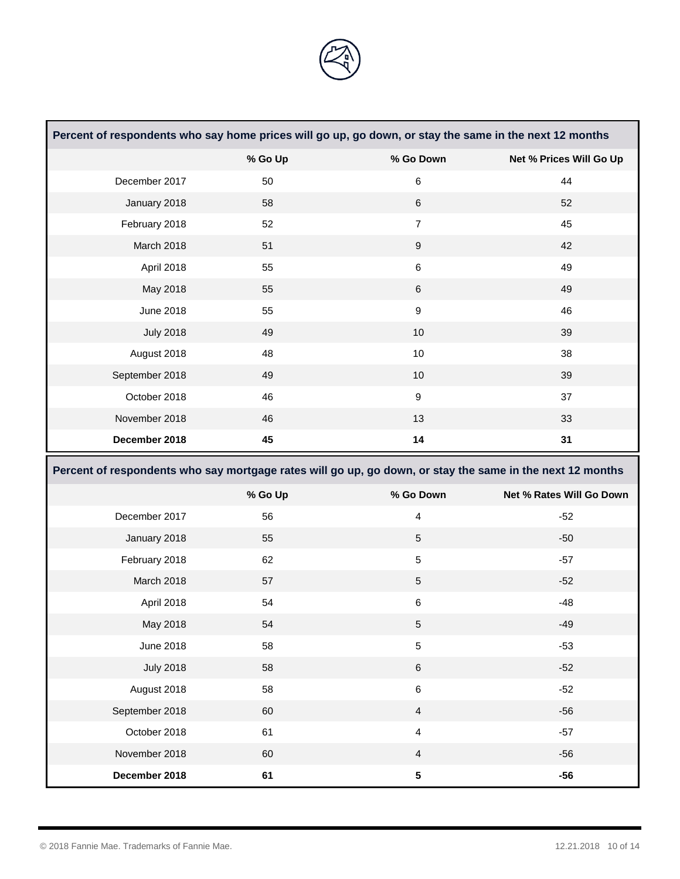

| Percent of respondents who say home prices will go up, go down, or stay the same in the next 12 months |                                                                                                           |                         |                          |
|--------------------------------------------------------------------------------------------------------|-----------------------------------------------------------------------------------------------------------|-------------------------|--------------------------|
|                                                                                                        | % Go Up                                                                                                   | % Go Down               | Net % Prices Will Go Up  |
| December 2017                                                                                          | 50                                                                                                        | $\,6$                   | 44                       |
| January 2018                                                                                           | 58                                                                                                        | $\,6$                   | 52                       |
| February 2018                                                                                          | 52                                                                                                        | $\overline{7}$          | 45                       |
| March 2018                                                                                             | 51                                                                                                        | $\boldsymbol{9}$        | 42                       |
| April 2018                                                                                             | 55                                                                                                        | $\,6\,$                 | 49                       |
| May 2018                                                                                               | 55                                                                                                        | $\,6$                   | 49                       |
| <b>June 2018</b>                                                                                       | 55                                                                                                        | $\boldsymbol{9}$        | 46                       |
| <b>July 2018</b>                                                                                       | 49                                                                                                        | 10                      | 39                       |
| August 2018                                                                                            | 48                                                                                                        | 10                      | 38                       |
| September 2018                                                                                         | 49                                                                                                        | 10                      | 39                       |
| October 2018                                                                                           | 46                                                                                                        | $\boldsymbol{9}$        | 37                       |
| November 2018                                                                                          | 46                                                                                                        | 13                      | 33                       |
| December 2018                                                                                          | 45                                                                                                        | 14                      | 31                       |
|                                                                                                        |                                                                                                           |                         |                          |
|                                                                                                        | Percent of respondents who say mortgage rates will go up, go down, or stay the same in the next 12 months |                         |                          |
|                                                                                                        | % Go Up                                                                                                   | % Go Down               | Net % Rates Will Go Down |
| December 2017                                                                                          | 56                                                                                                        | $\overline{\mathbf{4}}$ | $-52$                    |
| January 2018                                                                                           | 55                                                                                                        | 5                       | $-50$                    |
| February 2018                                                                                          | 62                                                                                                        | $\sqrt{5}$              | $-57$                    |
| March 2018                                                                                             | 57                                                                                                        | $\sqrt{5}$              | $-52$                    |
| April 2018                                                                                             | 54                                                                                                        | $\,6$                   | $-48$                    |
| May 2018                                                                                               | 54                                                                                                        | 5                       | $-49$                    |
| <b>June 2018</b>                                                                                       | 58                                                                                                        | $\mathbf 5$             | $-53$                    |
| <b>July 2018</b>                                                                                       | 58                                                                                                        | $\,6$                   | $-52$                    |
| August 2018                                                                                            | 58                                                                                                        | $\,6\,$                 | $-52$                    |
| September 2018                                                                                         | 60                                                                                                        | $\overline{4}$          | $-56$                    |
| October 2018                                                                                           | 61                                                                                                        | $\overline{\mathbf{4}}$ | $-57$                    |
| November 2018                                                                                          | 60                                                                                                        | $\overline{4}$          | $-56$                    |

and the control of the control of the control of

and the control of the control of the control of the control of the control of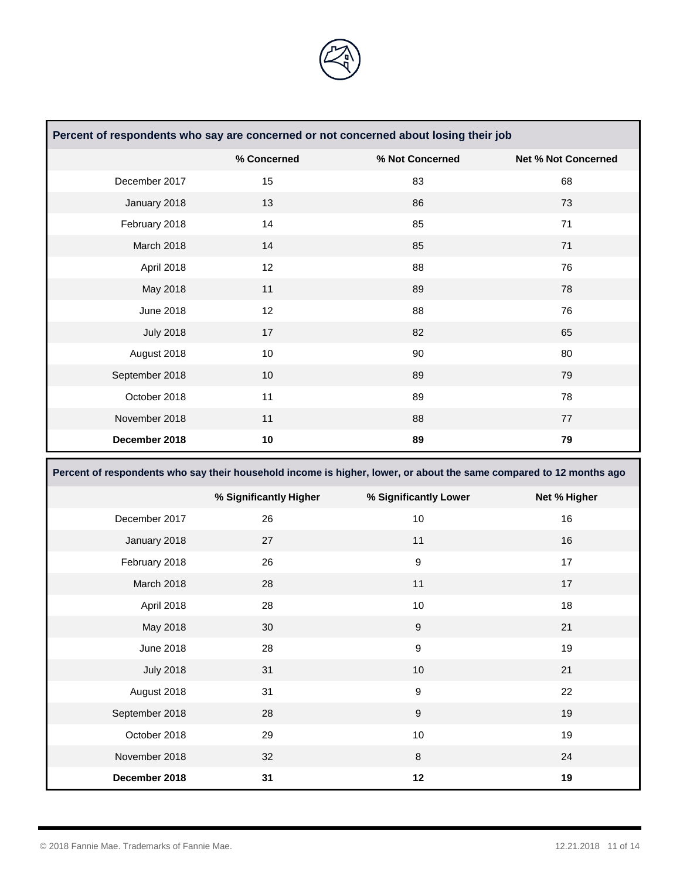

| Percent of respondents who say are concerned or not concerned about losing their job |             |                 |                            |
|--------------------------------------------------------------------------------------|-------------|-----------------|----------------------------|
|                                                                                      | % Concerned | % Not Concerned | <b>Net % Not Concerned</b> |
| December 2017                                                                        | 15          | 83              | 68                         |
| January 2018                                                                         | 13          | 86              | 73                         |
| February 2018                                                                        | 14          | 85              | 71                         |
| March 2018                                                                           | 14          | 85              | 71                         |
| April 2018                                                                           | 12          | 88              | 76                         |
| May 2018                                                                             | 11          | 89              | 78                         |
| June 2018                                                                            | 12          | 88              | 76                         |
| <b>July 2018</b>                                                                     | 17          | 82              | 65                         |
| August 2018                                                                          | 10          | 90              | 80                         |
| September 2018                                                                       | 10          | 89              | 79                         |
| October 2018                                                                         | 11          | 89              | 78                         |
| November 2018                                                                        | 11          | 88              | 77                         |
| December 2018                                                                        | 10          | 89              | 79                         |

**Percent of respondents who say their household income is higher, lower, or about the same compared to 12 months ago** 

|                  | % Significantly Higher | % Significantly Lower | Net % Higher |
|------------------|------------------------|-----------------------|--------------|
| December 2017    | 26                     | 10                    | 16           |
| January 2018     | 27                     | 11                    | 16           |
| February 2018    | 26                     | $\boldsymbol{9}$      | 17           |
| March 2018       | 28                     | 11                    | 17           |
| April 2018       | 28                     | 10                    | 18           |
| May 2018         | 30                     | $\boldsymbol{9}$      | 21           |
| <b>June 2018</b> | 28                     | $\boldsymbol{9}$      | 19           |
| <b>July 2018</b> | 31                     | 10                    | 21           |
| August 2018      | 31                     | $\boldsymbol{9}$      | 22           |
| September 2018   | 28                     | $\boldsymbol{9}$      | 19           |
| October 2018     | 29                     | 10                    | 19           |
| November 2018    | 32                     | 8                     | 24           |
| December 2018    | 31                     | 12                    | 19           |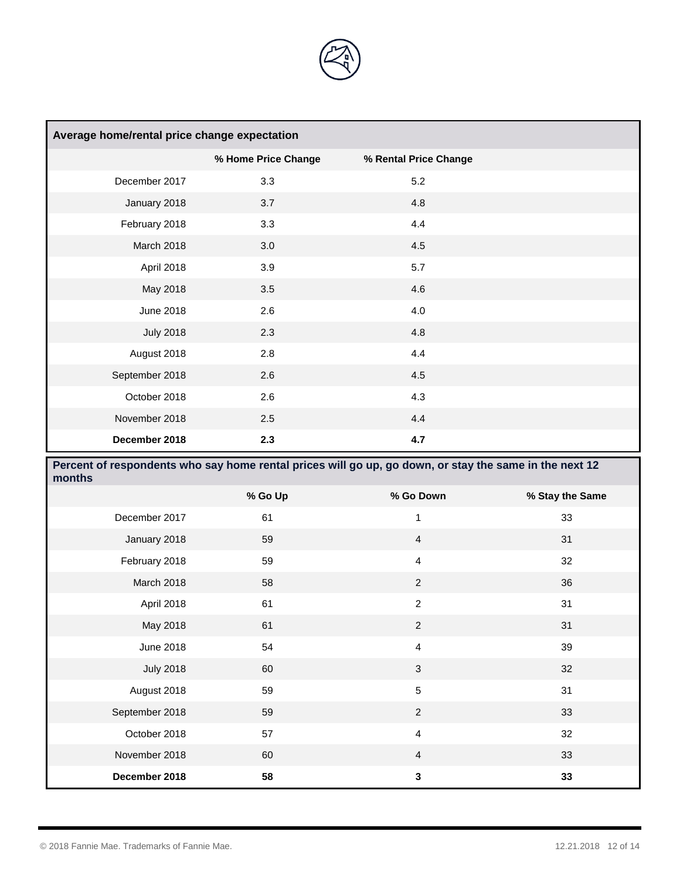

| Average home/rental price change expectation |                     |                       |  |
|----------------------------------------------|---------------------|-----------------------|--|
|                                              | % Home Price Change | % Rental Price Change |  |
| December 2017                                | 3.3                 | 5.2                   |  |
| January 2018                                 | 3.7                 | 4.8                   |  |
| February 2018                                | 3.3                 | 4.4                   |  |
| March 2018                                   | 3.0                 | 4.5                   |  |
| April 2018                                   | 3.9                 | 5.7                   |  |
| May 2018                                     | 3.5                 | 4.6                   |  |
| June 2018                                    | 2.6                 | 4.0                   |  |
| <b>July 2018</b>                             | 2.3                 | 4.8                   |  |
| August 2018                                  | 2.8                 | 4.4                   |  |
| September 2018                               | 2.6                 | 4.5                   |  |
| October 2018                                 | 2.6                 | 4.3                   |  |
| November 2018                                | 2.5                 | 4.4                   |  |
| December 2018                                | 2.3                 | 4.7                   |  |

| Percent of respondents who say home rental prices will go up, go down, or stay the same in the next 12<br>months |         |                |                 |
|------------------------------------------------------------------------------------------------------------------|---------|----------------|-----------------|
|                                                                                                                  | % Go Up | % Go Down      | % Stay the Same |
| December 2017                                                                                                    | 61      | 1              | 33              |
| January 2018                                                                                                     | 59      | $\overline{4}$ | 31              |
| February 2018                                                                                                    | 59      | $\overline{4}$ | 32              |
| March 2018                                                                                                       | 58      | $\overline{2}$ | 36              |
| April 2018                                                                                                       | 61      | $\overline{2}$ | 31              |
| May 2018                                                                                                         | 61      | $\overline{2}$ | 31              |
| June 2018                                                                                                        | 54      | $\overline{4}$ | 39              |
| <b>July 2018</b>                                                                                                 | 60      | 3              | 32              |
| August 2018                                                                                                      | 59      | 5              | 31              |
| September 2018                                                                                                   | 59      | $\overline{2}$ | 33              |
| October 2018                                                                                                     | 57      | $\overline{4}$ | 32              |
| November 2018                                                                                                    | 60      | $\overline{4}$ | 33              |
| December 2018                                                                                                    | 58      | 3              | 33              |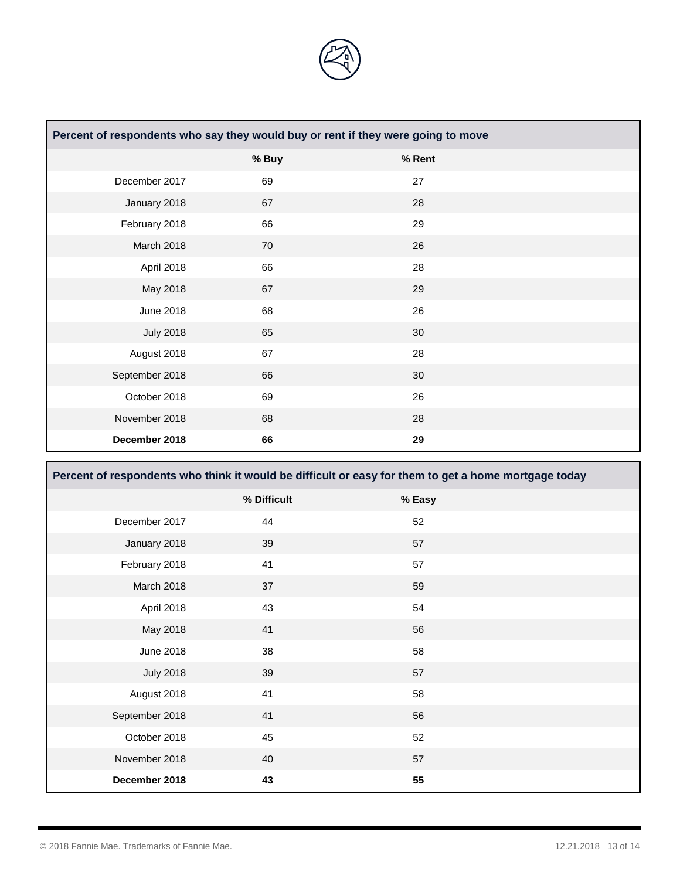

| Percent of respondents who say they would buy or rent if they were going to move |       |        |  |
|----------------------------------------------------------------------------------|-------|--------|--|
|                                                                                  | % Buy | % Rent |  |
| December 2017                                                                    | 69    | 27     |  |
| January 2018                                                                     | 67    | 28     |  |
| February 2018                                                                    | 66    | 29     |  |
| March 2018                                                                       | 70    | 26     |  |
| April 2018                                                                       | 66    | 28     |  |
| May 2018                                                                         | 67    | 29     |  |
| June 2018                                                                        | 68    | 26     |  |
| <b>July 2018</b>                                                                 | 65    | 30     |  |
| August 2018                                                                      | 67    | 28     |  |
| September 2018                                                                   | 66    | 30     |  |
| October 2018                                                                     | 69    | 26     |  |
| November 2018                                                                    | 68    | 28     |  |
| December 2018                                                                    | 66    | 29     |  |

| Percent of respondents who think it would be difficult or easy for them to get a home mortgage today |             |        |  |
|------------------------------------------------------------------------------------------------------|-------------|--------|--|
|                                                                                                      | % Difficult | % Easy |  |
| December 2017                                                                                        | 44          | 52     |  |
| January 2018                                                                                         | 39          | 57     |  |
| February 2018                                                                                        | 41          | 57     |  |
| March 2018                                                                                           | 37          | 59     |  |
| April 2018                                                                                           | 43          | 54     |  |
| May 2018                                                                                             | 41          | 56     |  |
| <b>June 2018</b>                                                                                     | 38          | 58     |  |
| <b>July 2018</b>                                                                                     | 39          | 57     |  |
| August 2018                                                                                          | 41          | 58     |  |
| September 2018                                                                                       | 41          | 56     |  |
| October 2018                                                                                         | 45          | 52     |  |
| November 2018                                                                                        | 40          | 57     |  |
| December 2018                                                                                        | 43          | 55     |  |